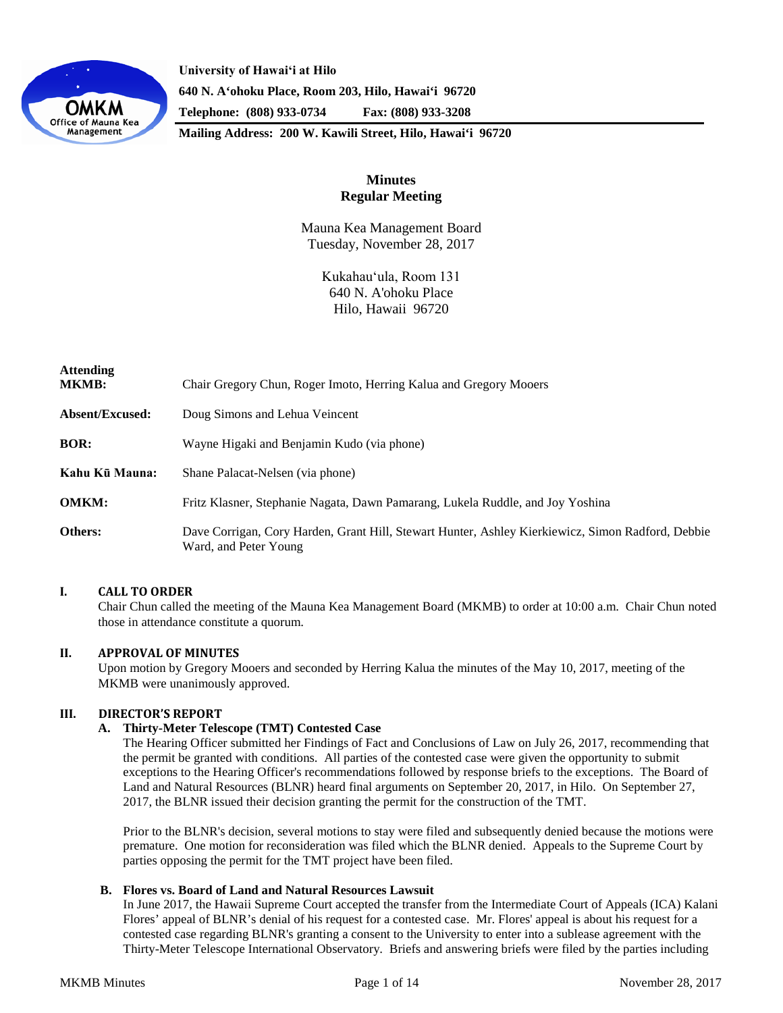

**University of Hawaiʻi at Hilo 640 N. A'ohoku Place, Room 203, Hilo, Hawai'i 96720 Telephone: (808) 933-0734 Fax: (808) 933-3208**

**Mailing Address: 200 W. Kawili Street, Hilo, Hawai'i 96720**

# **Minutes Regular Meeting**

Mauna Kea Management Board Tuesday, November 28, 2017

> Kukahauʻula, Room 131 640 N. A'ohoku Place Hilo, Hawaii 96720

| <b>Attending</b><br><b>MKMB:</b> | Chair Gregory Chun, Roger Imoto, Herring Kalua and Gregory Mooers                                                          |
|----------------------------------|----------------------------------------------------------------------------------------------------------------------------|
| Absent/Excused:                  | Doug Simons and Lehua Veincent                                                                                             |
| <b>BOR:</b>                      | Wayne Higaki and Benjamin Kudo (via phone)                                                                                 |
| Kahu Kū Mauna:                   | Shane Palacat-Nelsen (via phone)                                                                                           |
| <b>OMKM:</b>                     | Fritz Klasner, Stephanie Nagata, Dawn Pamarang, Lukela Ruddle, and Joy Yoshina                                             |
| Others:                          | Dave Corrigan, Cory Harden, Grant Hill, Stewart Hunter, Ashley Kierkiewicz, Simon Radford, Debbie<br>Ward, and Peter Young |

# **I. CALL TO ORDER**

Chair Chun called the meeting of the Mauna Kea Management Board (MKMB) to order at 10:00 a.m. Chair Chun noted those in attendance constitute a quorum.

# **II. APPROVAL OF MINUTES**

Upon motion by Gregory Mooers and seconded by Herring Kalua the minutes of the May 10, 2017, meeting of the MKMB were unanimously approved.

# **III. DIRECTOR'S REPORT**

# **A. Thirty-Meter Telescope (TMT) Contested Case**

The Hearing Officer submitted her Findings of Fact and Conclusions of Law on July 26, 2017, recommending that the permit be granted with conditions. All parties of the contested case were given the opportunity to submit exceptions to the Hearing Officer's recommendations followed by response briefs to the exceptions. The Board of Land and Natural Resources (BLNR) heard final arguments on September 20, 2017, in Hilo. On September 27, 2017, the BLNR issued their decision granting the permit for the construction of the TMT.

Prior to the BLNR's decision, several motions to stay were filed and subsequently denied because the motions were premature. One motion for reconsideration was filed which the BLNR denied. Appeals to the Supreme Court by parties opposing the permit for the TMT project have been filed.

# **B. Flores vs. Board of Land and Natural Resources Lawsuit**

In June 2017, the Hawaii Supreme Court accepted the transfer from the Intermediate Court of Appeals (ICA) Kalani Flores' appeal of BLNR's denial of his request for a contested case. Mr. Flores' appeal is about his request for a contested case regarding BLNR's granting a consent to the University to enter into a sublease agreement with the Thirty-Meter Telescope International Observatory. Briefs and answering briefs were filed by the parties including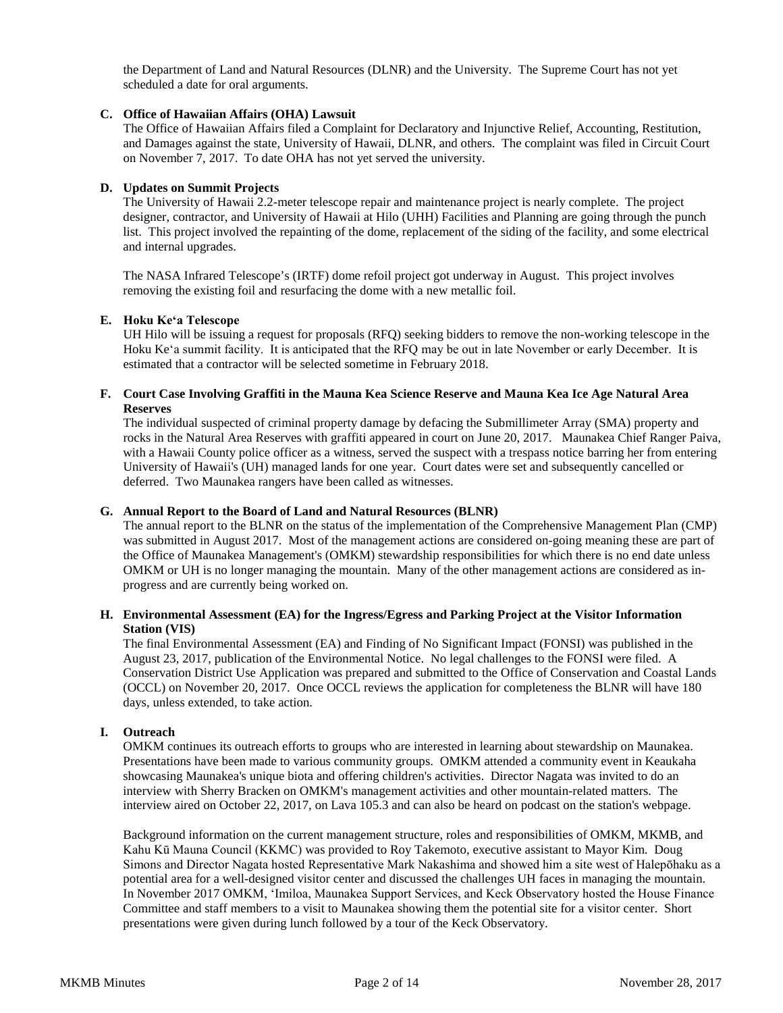the Department of Land and Natural Resources (DLNR) and the University. The Supreme Court has not yet scheduled a date for oral arguments.

## **C. Office of Hawaiian Affairs (OHA) Lawsuit**

The Office of Hawaiian Affairs filed a Complaint for Declaratory and Injunctive Relief, Accounting, Restitution, and Damages against the state, University of Hawaii, DLNR, and others. The complaint was filed in Circuit Court on November 7, 2017. To date OHA has not yet served the university.

# **D. Updates on Summit Projects**

The University of Hawaii 2.2-meter telescope repair and maintenance project is nearly complete. The project designer, contractor, and University of Hawaii at Hilo (UHH) Facilities and Planning are going through the punch list. This project involved the repainting of the dome, replacement of the siding of the facility, and some electrical and internal upgrades.

The NASA Infrared Telescope's (IRTF) dome refoil project got underway in August. This project involves removing the existing foil and resurfacing the dome with a new metallic foil.

## **E. Hoku Keʻa Telescope**

UH Hilo will be issuing a request for proposals (RFQ) seeking bidders to remove the non-working telescope in the Hoku Keʻa summit facility. It is anticipated that the RFQ may be out in late November or early December. It is estimated that a contractor will be selected sometime in February 2018.

## **F. Court Case Involving Graffiti in the Mauna Kea Science Reserve and Mauna Kea Ice Age Natural Area Reserves**

The individual suspected of criminal property damage by defacing the Submillimeter Array (SMA) property and rocks in the Natural Area Reserves with graffiti appeared in court on June 20, 2017. Maunakea Chief Ranger Paiva, with a Hawaii County police officer as a witness, served the suspect with a trespass notice barring her from entering University of Hawaii's (UH) managed lands for one year. Court dates were set and subsequently cancelled or deferred. Two Maunakea rangers have been called as witnesses.

## **G. Annual Report to the Board of Land and Natural Resources (BLNR)**

The annual report to the BLNR on the status of the implementation of the Comprehensive Management Plan (CMP) was submitted in August 2017. Most of the management actions are considered on-going meaning these are part of the Office of Maunakea Management's (OMKM) stewardship responsibilities for which there is no end date unless OMKM or UH is no longer managing the mountain. Many of the other management actions are considered as inprogress and are currently being worked on.

# **H. Environmental Assessment (EA) for the Ingress/Egress and Parking Project at the Visitor Information Station (VIS)**

The final Environmental Assessment (EA) and Finding of No Significant Impact (FONSI) was published in the August 23, 2017, publication of the Environmental Notice. No legal challenges to the FONSI were filed. A Conservation District Use Application was prepared and submitted to the Office of Conservation and Coastal Lands (OCCL) on November 20, 2017. Once OCCL reviews the application for completeness the BLNR will have 180 days, unless extended, to take action.

#### **I. Outreach**

OMKM continues its outreach efforts to groups who are interested in learning about stewardship on Maunakea. Presentations have been made to various community groups. OMKM attended a community event in Keaukaha showcasing Maunakea's unique biota and offering children's activities. Director Nagata was invited to do an interview with Sherry Bracken on OMKM's management activities and other mountain-related matters. The interview aired on October 22, 2017, on Lava 105.3 and can also be heard on podcast on the station's webpage.

Background information on the current management structure, roles and responsibilities of OMKM, MKMB, and Kahu Kū Mauna Council (KKMC) was provided to Roy Takemoto, executive assistant to Mayor Kim. Doug Simons and Director Nagata hosted Representative Mark Nakashima and showed him a site west of Halepōhaku as a potential area for a well-designed visitor center and discussed the challenges UH faces in managing the mountain. In November 2017 OMKM, ʻImiloa, Maunakea Support Services, and Keck Observatory hosted the House Finance Committee and staff members to a visit to Maunakea showing them the potential site for a visitor center. Short presentations were given during lunch followed by a tour of the Keck Observatory.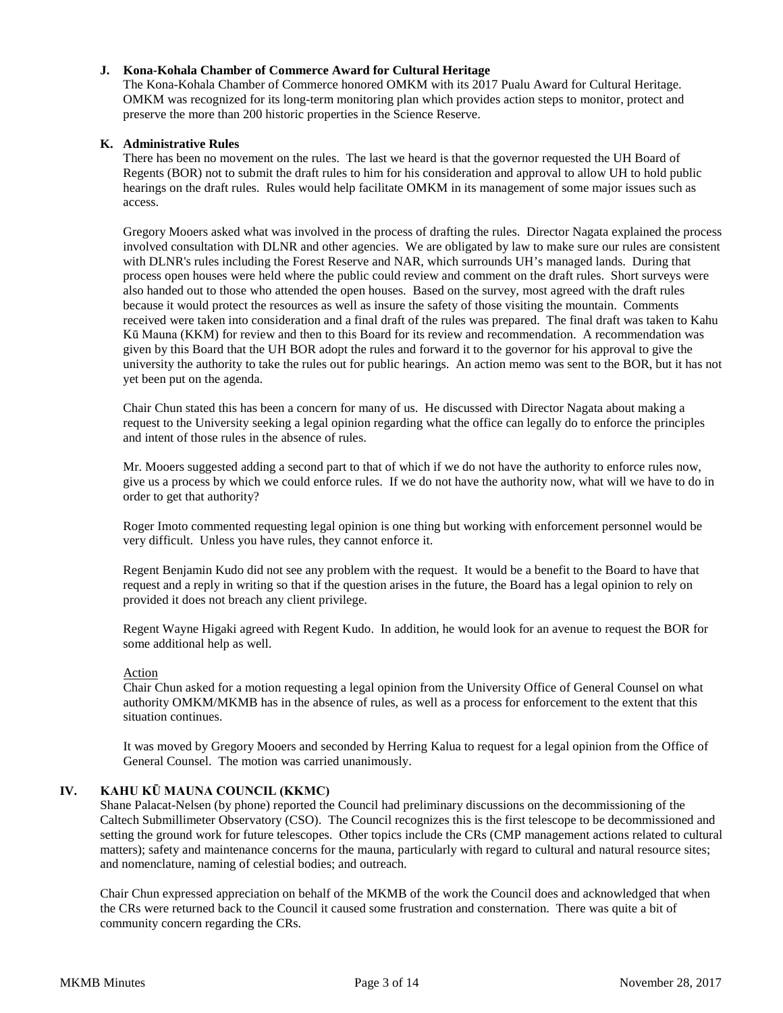# **J. Kona-Kohala Chamber of Commerce Award for Cultural Heritage**

The Kona-Kohala Chamber of Commerce honored OMKM with its 2017 Pualu Award for Cultural Heritage. OMKM was recognized for its long-term monitoring plan which provides action steps to monitor, protect and preserve the more than 200 historic properties in the Science Reserve.

# **K. Administrative Rules**

There has been no movement on the rules. The last we heard is that the governor requested the UH Board of Regents (BOR) not to submit the draft rules to him for his consideration and approval to allow UH to hold public hearings on the draft rules. Rules would help facilitate OMKM in its management of some major issues such as access.

Gregory Mooers asked what was involved in the process of drafting the rules. Director Nagata explained the process involved consultation with DLNR and other agencies. We are obligated by law to make sure our rules are consistent with DLNR's rules including the Forest Reserve and NAR, which surrounds UH's managed lands. During that process open houses were held where the public could review and comment on the draft rules. Short surveys were also handed out to those who attended the open houses. Based on the survey, most agreed with the draft rules because it would protect the resources as well as insure the safety of those visiting the mountain. Comments received were taken into consideration and a final draft of the rules was prepared. The final draft was taken to Kahu Kū Mauna (KKM) for review and then to this Board for its review and recommendation. A recommendation was given by this Board that the UH BOR adopt the rules and forward it to the governor for his approval to give the university the authority to take the rules out for public hearings. An action memo was sent to the BOR, but it has not yet been put on the agenda.

Chair Chun stated this has been a concern for many of us. He discussed with Director Nagata about making a request to the University seeking a legal opinion regarding what the office can legally do to enforce the principles and intent of those rules in the absence of rules.

Mr. Mooers suggested adding a second part to that of which if we do not have the authority to enforce rules now, give us a process by which we could enforce rules. If we do not have the authority now, what will we have to do in order to get that authority?

Roger Imoto commented requesting legal opinion is one thing but working with enforcement personnel would be very difficult. Unless you have rules, they cannot enforce it.

Regent Benjamin Kudo did not see any problem with the request. It would be a benefit to the Board to have that request and a reply in writing so that if the question arises in the future, the Board has a legal opinion to rely on provided it does not breach any client privilege.

Regent Wayne Higaki agreed with Regent Kudo. In addition, he would look for an avenue to request the BOR for some additional help as well.

#### Action

Chair Chun asked for a motion requesting a legal opinion from the University Office of General Counsel on what authority OMKM/MKMB has in the absence of rules, as well as a process for enforcement to the extent that this situation continues.

It was moved by Gregory Mooers and seconded by Herring Kalua to request for a legal opinion from the Office of General Counsel. The motion was carried unanimously.

# **IV. KAHU KŪ MAUNA COUNCIL (KKMC)**

Shane Palacat-Nelsen (by phone) reported the Council had preliminary discussions on the decommissioning of the Caltech Submillimeter Observatory (CSO). The Council recognizes this is the first telescope to be decommissioned and setting the ground work for future telescopes. Other topics include the CRs (CMP management actions related to cultural matters); safety and maintenance concerns for the mauna, particularly with regard to cultural and natural resource sites; and nomenclature, naming of celestial bodies; and outreach.

Chair Chun expressed appreciation on behalf of the MKMB of the work the Council does and acknowledged that when the CRs were returned back to the Council it caused some frustration and consternation. There was quite a bit of community concern regarding the CRs.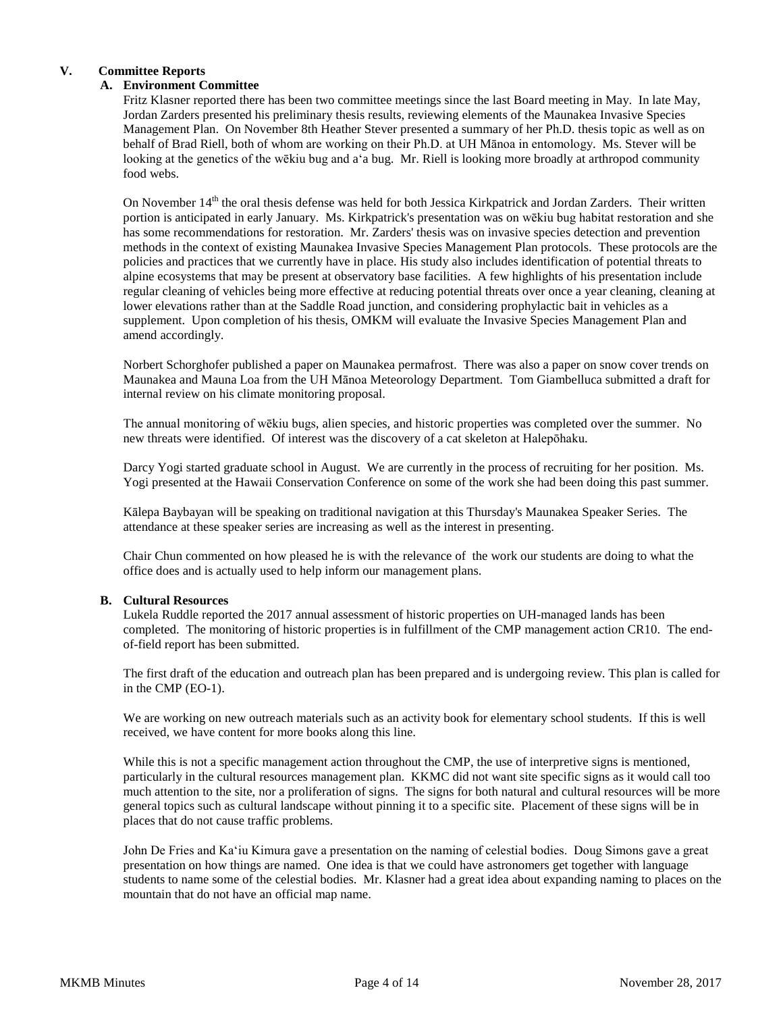# **V. Committee Reports**

# **A. Environment Committee**

Fritz Klasner reported there has been two committee meetings since the last Board meeting in May. In late May, Jordan Zarders presented his preliminary thesis results, reviewing elements of the Maunakea Invasive Species Management Plan. On November 8th Heather Stever presented a summary of her Ph.D. thesis topic as well as on behalf of Brad Riell, both of whom are working on their Ph.D. at UH Mānoa in entomology. Ms. Stever will be looking at the genetics of the wēkiu bug and aʻa bug. Mr. Riell is looking more broadly at arthropod community food webs.

On November 14<sup>th</sup> the oral thesis defense was held for both Jessica Kirkpatrick and Jordan Zarders. Their written portion is anticipated in early January. Ms. Kirkpatrick's presentation was on wēkiu bug habitat restoration and she has some recommendations for restoration. Mr. Zarders' thesis was on invasive species detection and prevention methods in the context of existing Maunakea Invasive Species Management Plan protocols. These protocols are the policies and practices that we currently have in place. His study also includes identification of potential threats to alpine ecosystems that may be present at observatory base facilities. A few highlights of his presentation include regular cleaning of vehicles being more effective at reducing potential threats over once a year cleaning, cleaning at lower elevations rather than at the Saddle Road junction, and considering prophylactic bait in vehicles as a supplement. Upon completion of his thesis, OMKM will evaluate the Invasive Species Management Plan and amend accordingly.

Norbert Schorghofer published a paper on Maunakea permafrost. There was also a paper on snow cover trends on Maunakea and Mauna Loa from the UH Mānoa Meteorology Department. Tom Giambelluca submitted a draft for internal review on his climate monitoring proposal.

The annual monitoring of wēkiu bugs, alien species, and historic properties was completed over the summer. No new threats were identified. Of interest was the discovery of a cat skeleton at Halepōhaku.

Darcy Yogi started graduate school in August. We are currently in the process of recruiting for her position. Ms. Yogi presented at the Hawaii Conservation Conference on some of the work she had been doing this past summer.

Kālepa Baybayan will be speaking on traditional navigation at this Thursday's Maunakea Speaker Series. The attendance at these speaker series are increasing as well as the interest in presenting.

Chair Chun commented on how pleased he is with the relevance of the work our students are doing to what the office does and is actually used to help inform our management plans.

# **B. Cultural Resources**

Lukela Ruddle reported the 2017 annual assessment of historic properties on UH-managed lands has been completed. The monitoring of historic properties is in fulfillment of the CMP management action CR10. The endof-field report has been submitted.

The first draft of the education and outreach plan has been prepared and is undergoing review. This plan is called for in the CMP (EO-1).

We are working on new outreach materials such as an activity book for elementary school students. If this is well received, we have content for more books along this line.

While this is not a specific management action throughout the CMP, the use of interpretive signs is mentioned, particularly in the cultural resources management plan. KKMC did not want site specific signs as it would call too much attention to the site, nor a proliferation of signs. The signs for both natural and cultural resources will be more general topics such as cultural landscape without pinning it to a specific site. Placement of these signs will be in places that do not cause traffic problems.

John De Fries and Kaʻiu Kimura gave a presentation on the naming of celestial bodies. Doug Simons gave a great presentation on how things are named. One idea is that we could have astronomers get together with language students to name some of the celestial bodies. Mr. Klasner had a great idea about expanding naming to places on the mountain that do not have an official map name.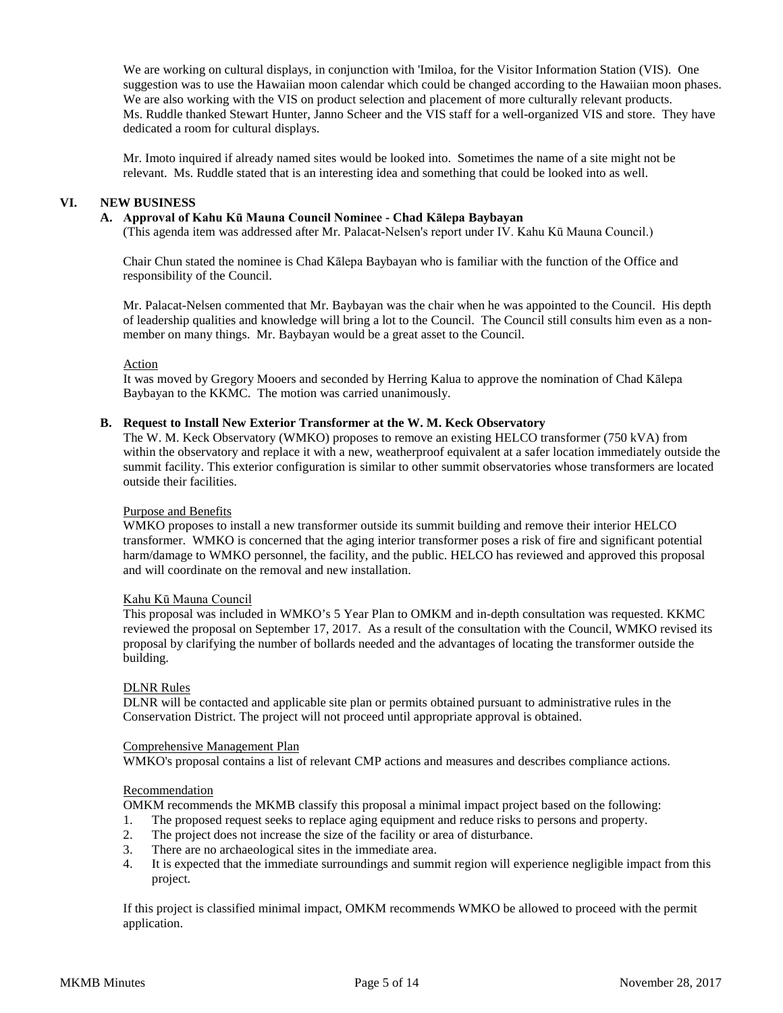We are working on cultural displays, in conjunction with 'Imiloa, for the Visitor Information Station (VIS). One suggestion was to use the Hawaiian moon calendar which could be changed according to the Hawaiian moon phases. We are also working with the VIS on product selection and placement of more culturally relevant products. Ms. Ruddle thanked Stewart Hunter, Janno Scheer and the VIS staff for a well-organized VIS and store. They have dedicated a room for cultural displays.

Mr. Imoto inquired if already named sites would be looked into. Sometimes the name of a site might not be relevant. Ms. Ruddle stated that is an interesting idea and something that could be looked into as well.

## **VI. NEW BUSINESS**

## **A. Approval of Kahu Kū Mauna Council Nominee - Chad Kālepa Baybayan**

(This agenda item was addressed after Mr. Palacat-Nelsen's report under IV. Kahu Kū Mauna Council.)

Chair Chun stated the nominee is Chad Kālepa Baybayan who is familiar with the function of the Office and responsibility of the Council.

Mr. Palacat-Nelsen commented that Mr. Baybayan was the chair when he was appointed to the Council. His depth of leadership qualities and knowledge will bring a lot to the Council. The Council still consults him even as a nonmember on many things. Mr. Baybayan would be a great asset to the Council.

Action

It was moved by Gregory Mooers and seconded by Herring Kalua to approve the nomination of Chad Kālepa Baybayan to the KKMC. The motion was carried unanimously.

# **B. Request to Install New Exterior Transformer at the W. M. Keck Observatory**

The W. M. Keck Observatory (WMKO) proposes to remove an existing HELCO transformer (750 kVA) from within the observatory and replace it with a new, weatherproof equivalent at a safer location immediately outside the summit facility. This exterior configuration is similar to other summit observatories whose transformers are located outside their facilities.

# Purpose and Benefits

WMKO proposes to install a new transformer outside its summit building and remove their interior HELCO transformer. WMKO is concerned that the aging interior transformer poses a risk of fire and significant potential harm/damage to WMKO personnel, the facility, and the public. HELCO has reviewed and approved this proposal and will coordinate on the removal and new installation.

#### Kahu Kū Mauna Council

This proposal was included in WMKO's 5 Year Plan to OMKM and in-depth consultation was requested. KKMC reviewed the proposal on September 17, 2017. As a result of the consultation with the Council, WMKO revised its proposal by clarifying the number of bollards needed and the advantages of locating the transformer outside the building.

#### DLNR Rules

DLNR will be contacted and applicable site plan or permits obtained pursuant to administrative rules in the Conservation District. The project will not proceed until appropriate approval is obtained.

## Comprehensive Management Plan

WMKO's proposal contains a list of relevant CMP actions and measures and describes compliance actions.

# Recommendation

OMKM recommends the MKMB classify this proposal a minimal impact project based on the following:

- 1. The proposed request seeks to replace aging equipment and reduce risks to persons and property.
- 2. The project does not increase the size of the facility or area of disturbance.
- 3. There are no archaeological sites in the immediate area.
- 4. It is expected that the immediate surroundings and summit region will experience negligible impact from this project.

If this project is classified minimal impact, OMKM recommends WMKO be allowed to proceed with the permit application.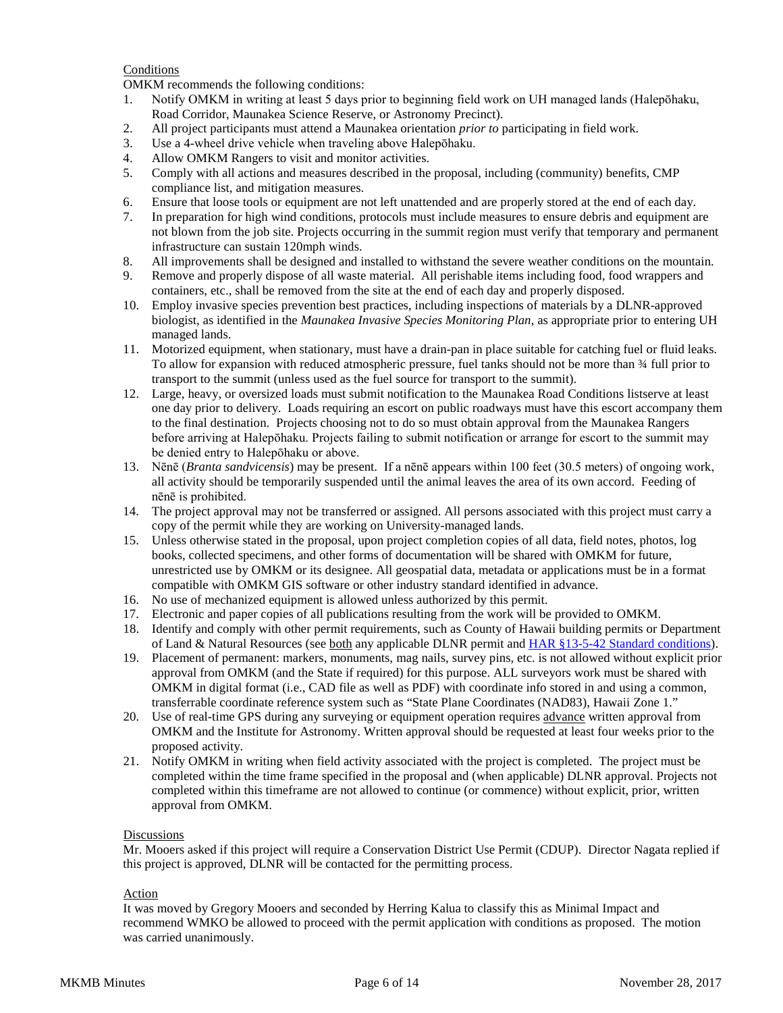# **Conditions**

OMKM recommends the following conditions:

- 1. Notify OMKM in writing at least 5 days prior to beginning field work on UH managed lands (Halepōhaku, Road Corridor, Maunakea Science Reserve, or Astronomy Precinct).
- 2. All project participants must attend a Maunakea orientation *prior to* participating in field work.
- 3. Use a 4-wheel drive vehicle when traveling above Halepōhaku.
- 4. Allow OMKM Rangers to visit and monitor activities.
- 5. Comply with all actions and measures described in the proposal, including (community) benefits, CMP compliance list, and mitigation measures.
- 6. Ensure that loose tools or equipment are not left unattended and are properly stored at the end of each day.
- 7. In preparation for high wind conditions, protocols must include measures to ensure debris and equipment are not blown from the job site. Projects occurring in the summit region must verify that temporary and permanent infrastructure can sustain 120mph winds.
- 8. All improvements shall be designed and installed to withstand the severe weather conditions on the mountain.
- 9. Remove and properly dispose of all waste material. All perishable items including food, food wrappers and containers, etc., shall be removed from the site at the end of each day and properly disposed.
- 10. Employ invasive species prevention best practices, including inspections of materials by a DLNR-approved biologist, as identified in the *Maunakea Invasive Species Monitoring Plan*, as appropriate prior to entering UH managed lands.
- 11. Motorized equipment, when stationary, must have a drain-pan in place suitable for catching fuel or fluid leaks. To allow for expansion with reduced atmospheric pressure, fuel tanks should not be more than ¾ full prior to transport to the summit (unless used as the fuel source for transport to the summit).
- 12. Large, heavy, or oversized loads must submit notification to the Maunakea Road Conditions listserve at least one day prior to delivery. Loads requiring an escort on public roadways must have this escort accompany them to the final destination. Projects choosing not to do so must obtain approval from the Maunakea Rangers before arriving at Halepōhaku. Projects failing to submit notification or arrange for escort to the summit may be denied entry to Halepōhaku or above.
- 13. Nēnē (*Branta sandvicensis*) may be present. If a nēnē appears within 100 feet (30.5 meters) of ongoing work, all activity should be temporarily suspended until the animal leaves the area of its own accord. Feeding of nēnē is prohibited.
- 14. The project approval may not be transferred or assigned. All persons associated with this project must carry a copy of the permit while they are working on University-managed lands.
- 15. Unless otherwise stated in the proposal, upon project completion copies of all data, field notes, photos, log books, collected specimens, and other forms of documentation will be shared with OMKM for future, unrestricted use by OMKM or its designee. All geospatial data, metadata or applications must be in a format compatible with OMKM GIS software or other industry standard identified in advance.
- 16. No use of mechanized equipment is allowed unless authorized by this permit.
- 17. Electronic and paper copies of all publications resulting from the work will be provided to OMKM.
- 18. Identify and comply with other permit requirements, such as County of Hawaii building permits or Department of Land & Natural Resources (see <u>both</u> any applicable DLNR permit and HAR [§13-5-42 Standard conditions\)](http://dlnr.hawaii.gov/occl/files/2013/08/13-5-2013.pdf#page=47).
- 19. Placement of permanent: markers, monuments, mag nails, survey pins, etc. is not allowed without explicit prior approval from OMKM (and the State if required) for this purpose. ALL surveyors work must be shared with OMKM in digital format (i.e., CAD file as well as PDF) with coordinate info stored in and using a common, transferrable coordinate reference system such as "State Plane Coordinates (NAD83), Hawaii Zone 1."
- 20. Use of real-time GPS during any surveying or equipment operation requires advance written approval from OMKM and the Institute for Astronomy. Written approval should be requested at least four weeks prior to the proposed activity.
- 21. Notify OMKM in writing when field activity associated with the project is completed. The project must be completed within the time frame specified in the proposal and (when applicable) DLNR approval. Projects not completed within this timeframe are not allowed to continue (or commence) without explicit, prior, written approval from OMKM.

# Discussions

Mr. Mooers asked if this project will require a Conservation District Use Permit (CDUP). Director Nagata replied if this project is approved, DLNR will be contacted for the permitting process.

#### Action

It was moved by Gregory Mooers and seconded by Herring Kalua to classify this as Minimal Impact and recommend WMKO be allowed to proceed with the permit application with conditions as proposed. The motion was carried unanimously.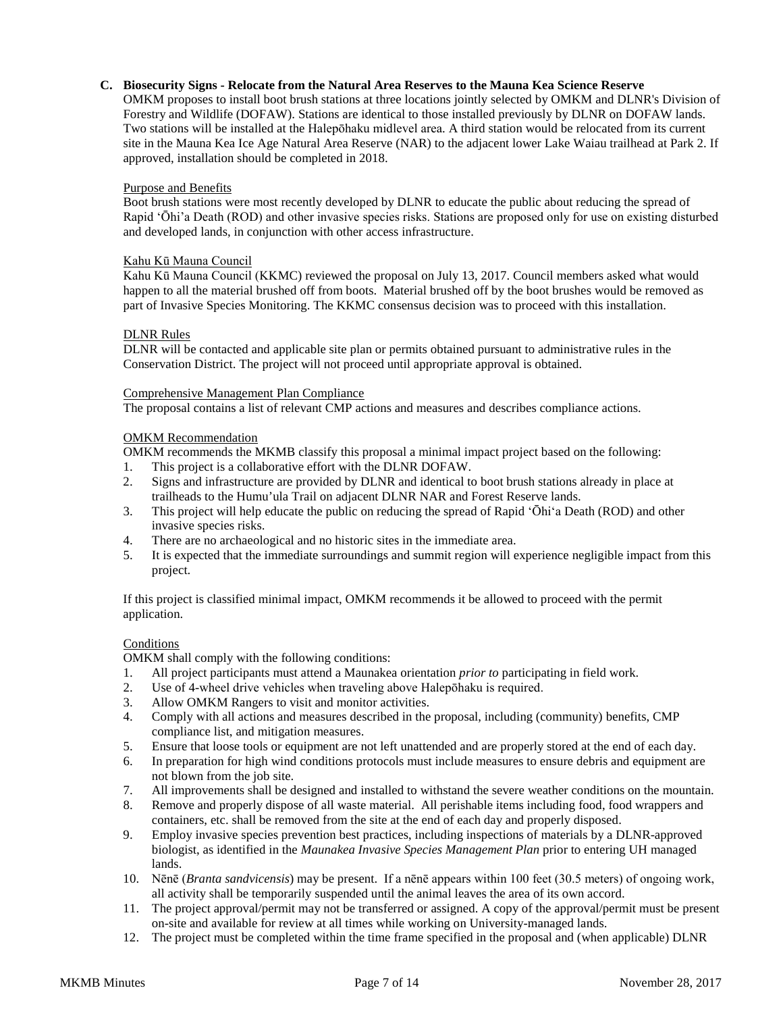# **C. Biosecurity Signs - Relocate from the Natural Area Reserves to the Mauna Kea Science Reserve**

OMKM proposes to install boot brush stations at three locations jointly selected by OMKM and DLNR's Division of Forestry and Wildlife (DOFAW). Stations are identical to those installed previously by DLNR on DOFAW lands. Two stations will be installed at the Halepōhaku midlevel area. A third station would be relocated from its current site in the Mauna Kea Ice Age Natural Area Reserve (NAR) to the adjacent lower Lake Waiau trailhead at Park 2. If approved, installation should be completed in 2018.

# Purpose and Benefits

Boot brush stations were most recently developed by DLNR to educate the public about reducing the spread of Rapid 'Ōhi'a Death (ROD) and other invasive species risks. Stations are proposed only for use on existing disturbed and developed lands, in conjunction with other access infrastructure.

## Kahu Kū Mauna Council

Kahu Kū Mauna Council (KKMC) reviewed the proposal on July 13, 2017. Council members asked what would happen to all the material brushed off from boots. Material brushed off by the boot brushes would be removed as part of Invasive Species Monitoring. The KKMC consensus decision was to proceed with this installation.

## DLNR Rules

DLNR will be contacted and applicable site plan or permits obtained pursuant to administrative rules in the Conservation District. The project will not proceed until appropriate approval is obtained.

#### Comprehensive Management Plan Compliance

The proposal contains a list of relevant CMP actions and measures and describes compliance actions.

## OMKM Recommendation

OMKM recommends the MKMB classify this proposal a minimal impact project based on the following:

- 1. This project is a collaborative effort with the DLNR DOFAW.
- 2. Signs and infrastructure are provided by DLNR and identical to boot brush stations already in place at trailheads to the Humu'ula Trail on adjacent DLNR NAR and Forest Reserve lands.
- 3. This project will help educate the public on reducing the spread of Rapid ʻŌhiʻa Death (ROD) and other invasive species risks.
- 4. There are no archaeological and no historic sites in the immediate area.
- 5. It is expected that the immediate surroundings and summit region will experience negligible impact from this project.

If this project is classified minimal impact, OMKM recommends it be allowed to proceed with the permit application.

#### Conditions

OMKM shall comply with the following conditions:

- 1. All project participants must attend a Maunakea orientation *prior to* participating in field work.
- 2. Use of 4-wheel drive vehicles when traveling above Halepōhaku is required.
- 3. Allow OMKM Rangers to visit and monitor activities.
- 4. Comply with all actions and measures described in the proposal, including (community) benefits, CMP compliance list, and mitigation measures.
- 5. Ensure that loose tools or equipment are not left unattended and are properly stored at the end of each day.
- 6. In preparation for high wind conditions protocols must include measures to ensure debris and equipment are not blown from the job site.
- 7. All improvements shall be designed and installed to withstand the severe weather conditions on the mountain.
- 8. Remove and properly dispose of all waste material. All perishable items including food, food wrappers and containers, etc. shall be removed from the site at the end of each day and properly disposed.
- 9. Employ invasive species prevention best practices, including inspections of materials by a DLNR-approved biologist, as identified in the *Maunakea Invasive Species Management Plan* prior to entering UH managed lands.
- 10. Nēnē (*Branta sandvicensis*) may be present. If a nēnē appears within 100 feet (30.5 meters) of ongoing work, all activity shall be temporarily suspended until the animal leaves the area of its own accord.
- 11. The project approval/permit may not be transferred or assigned. A copy of the approval/permit must be present on-site and available for review at all times while working on University-managed lands.
- 12. The project must be completed within the time frame specified in the proposal and (when applicable) DLNR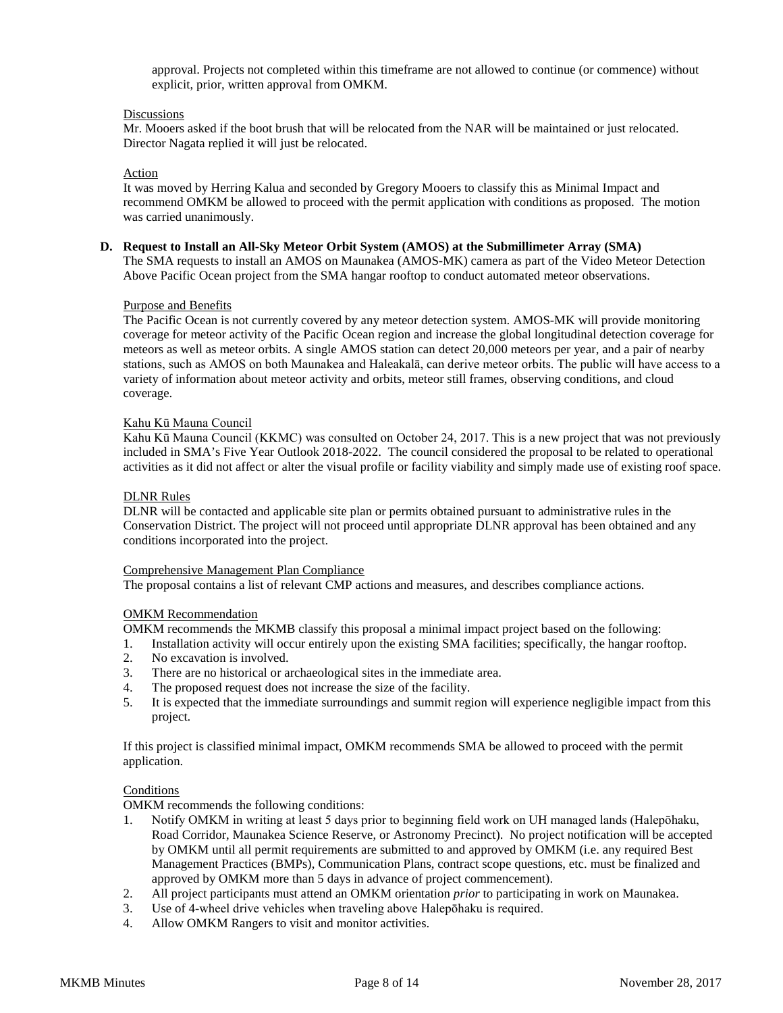approval. Projects not completed within this timeframe are not allowed to continue (or commence) without explicit, prior, written approval from OMKM.

## **Discussions**

Mr. Mooers asked if the boot brush that will be relocated from the NAR will be maintained or just relocated. Director Nagata replied it will just be relocated.

## Action

It was moved by Herring Kalua and seconded by Gregory Mooers to classify this as Minimal Impact and recommend OMKM be allowed to proceed with the permit application with conditions as proposed. The motion was carried unanimously.

#### **D. Request to Install an All-Sky Meteor Orbit System (AMOS) at the Submillimeter Array (SMA)**

The SMA requests to install an AMOS on Maunakea (AMOS-MK) camera as part of the Video Meteor Detection Above Pacific Ocean project from the SMA hangar rooftop to conduct automated meteor observations.

#### Purpose and Benefits

The Pacific Ocean is not currently covered by any meteor detection system. AMOS-MK will provide monitoring coverage for meteor activity of the Pacific Ocean region and increase the global longitudinal detection coverage for meteors as well as meteor orbits. A single AMOS station can detect 20,000 meteors per year, and a pair of nearby stations, such as AMOS on both Maunakea and Haleakalā, can derive meteor orbits. The public will have access to a variety of information about meteor activity and orbits, meteor still frames, observing conditions, and cloud coverage.

## Kahu Kū Mauna Council

Kahu Kū Mauna Council (KKMC) was consulted on October 24, 2017. This is a new project that was not previously included in SMA's Five Year Outlook 2018-2022. The council considered the proposal to be related to operational activities as it did not affect or alter the visual profile or facility viability and simply made use of existing roof space.

## DLNR Rules

DLNR will be contacted and applicable site plan or permits obtained pursuant to administrative rules in the Conservation District. The project will not proceed until appropriate DLNR approval has been obtained and any conditions incorporated into the project.

#### Comprehensive Management Plan Compliance

The proposal contains a list of relevant CMP actions and measures, and describes compliance actions.

#### OMKM Recommendation

OMKM recommends the MKMB classify this proposal a minimal impact project based on the following:

- 1. Installation activity will occur entirely upon the existing SMA facilities; specifically, the hangar rooftop.
- 2. No excavation is involved.
- 3. There are no historical or archaeological sites in the immediate area.
- 4. The proposed request does not increase the size of the facility.
- 5. It is expected that the immediate surroundings and summit region will experience negligible impact from this project.

If this project is classified minimal impact, OMKM recommends SMA be allowed to proceed with the permit application.

# **Conditions**

OMKM recommends the following conditions:

- 1. Notify OMKM in writing at least 5 days prior to beginning field work on UH managed lands (Halepōhaku, Road Corridor, Maunakea Science Reserve, or Astronomy Precinct). No project notification will be accepted by OMKM until all permit requirements are submitted to and approved by OMKM (i.e. any required Best Management Practices (BMPs), Communication Plans, contract scope questions, etc. must be finalized and approved by OMKM more than 5 days in advance of project commencement).
- 2. All project participants must attend an OMKM orientation *prior* to participating in work on Maunakea.
- 3. Use of 4-wheel drive vehicles when traveling above Halepōhaku is required.
- 4. Allow OMKM Rangers to visit and monitor activities.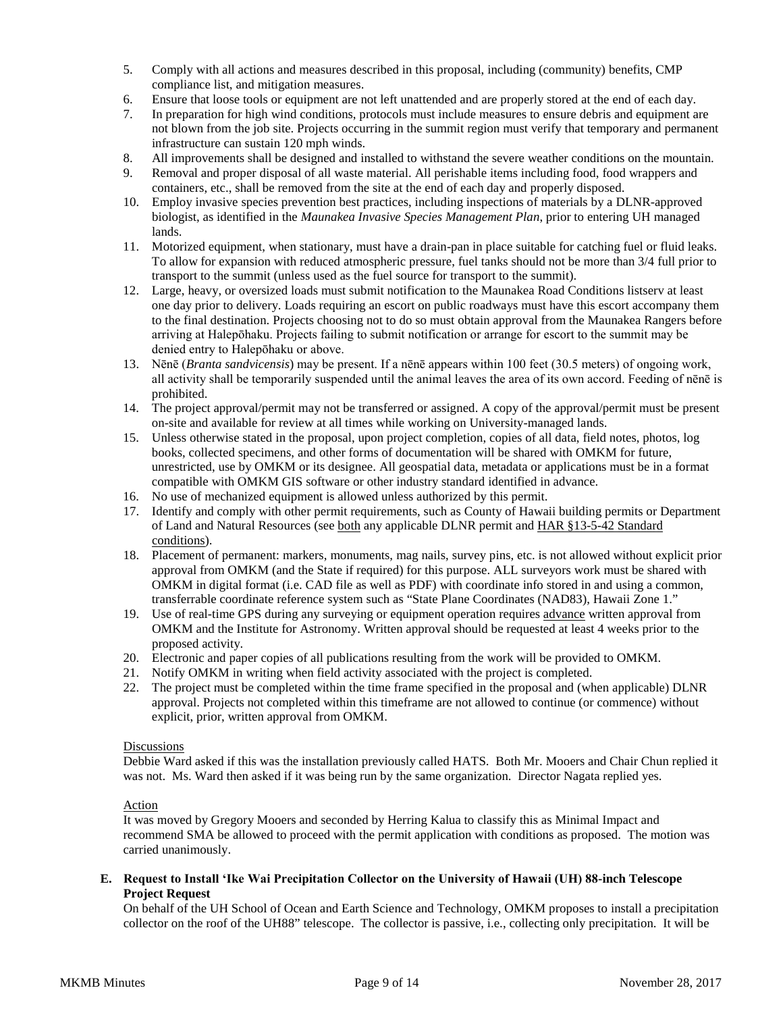- 5. Comply with all actions and measures described in this proposal, including (community) benefits, CMP compliance list, and mitigation measures.
- 6. Ensure that loose tools or equipment are not left unattended and are properly stored at the end of each day.
- 7. In preparation for high wind conditions, protocols must include measures to ensure debris and equipment are not blown from the job site. Projects occurring in the summit region must verify that temporary and permanent infrastructure can sustain 120 mph winds.
- 8. All improvements shall be designed and installed to withstand the severe weather conditions on the mountain.
- 9. Removal and proper disposal of all waste material. All perishable items including food, food wrappers and containers, etc., shall be removed from the site at the end of each day and properly disposed.
- 10. Employ invasive species prevention best practices, including inspections of materials by a DLNR-approved biologist, as identified in the *Maunakea Invasive Species Management Plan*, prior to entering UH managed lands.
- 11. Motorized equipment, when stationary, must have a drain-pan in place suitable for catching fuel or fluid leaks. To allow for expansion with reduced atmospheric pressure, fuel tanks should not be more than 3/4 full prior to transport to the summit (unless used as the fuel source for transport to the summit).
- 12. Large, heavy, or oversized loads must submit notification to the Maunakea Road Conditions listserv at least one day prior to delivery. Loads requiring an escort on public roadways must have this escort accompany them to the final destination. Projects choosing not to do so must obtain approval from the Maunakea Rangers before arriving at Halepōhaku. Projects failing to submit notification or arrange for escort to the summit may be denied entry to Halepōhaku or above.
- 13. Nēnē (*Branta sandvicensis*) may be present. If a nēnē appears within 100 feet (30.5 meters) of ongoing work, all activity shall be temporarily suspended until the animal leaves the area of its own accord. Feeding of nēnē is prohibited.
- 14. The project approval/permit may not be transferred or assigned. A copy of the approval/permit must be present on-site and available for review at all times while working on University-managed lands.
- 15. Unless otherwise stated in the proposal, upon project completion, copies of all data, field notes, photos, log books, collected specimens, and other forms of documentation will be shared with OMKM for future, unrestricted, use by OMKM or its designee. All geospatial data, metadata or applications must be in a format compatible with OMKM GIS software or other industry standard identified in advance.
- 16. No use of mechanized equipment is allowed unless authorized by this permit.
- 17. Identify and comply with other permit requirements, such as County of Hawaii building permits or Department of Land and Natural Resources (see both any applicable DLNR permit and HAR §13-5-42 Standard conditions).
- 18. Placement of permanent: markers, monuments, mag nails, survey pins, etc. is not allowed without explicit prior approval from OMKM (and the State if required) for this purpose. ALL surveyors work must be shared with OMKM in digital format (i.e. CAD file as well as PDF) with coordinate info stored in and using a common, transferrable coordinate reference system such as "State Plane Coordinates (NAD83), Hawaii Zone 1."
- 19. Use of real-time GPS during any surveying or equipment operation requires advance written approval from OMKM and the Institute for Astronomy. Written approval should be requested at least 4 weeks prior to the proposed activity.
- 20. Electronic and paper copies of all publications resulting from the work will be provided to OMKM.
- 21. Notify OMKM in writing when field activity associated with the project is completed.
- 22. The project must be completed within the time frame specified in the proposal and (when applicable) DLNR approval. Projects not completed within this timeframe are not allowed to continue (or commence) without explicit, prior, written approval from OMKM.

## **Discussions**

Debbie Ward asked if this was the installation previously called HATS. Both Mr. Mooers and Chair Chun replied it was not. Ms. Ward then asked if it was being run by the same organization. Director Nagata replied yes.

# Action

It was moved by Gregory Mooers and seconded by Herring Kalua to classify this as Minimal Impact and recommend SMA be allowed to proceed with the permit application with conditions as proposed. The motion was carried unanimously.

# **E. Request to Install ʻIke Wai Precipitation Collector on the University of Hawaii (UH) 88-inch Telescope Project Request**

On behalf of the UH School of Ocean and Earth Science and Technology, OMKM proposes to install a precipitation collector on the roof of the UH88" telescope. The collector is passive, i.e., collecting only precipitation. It will be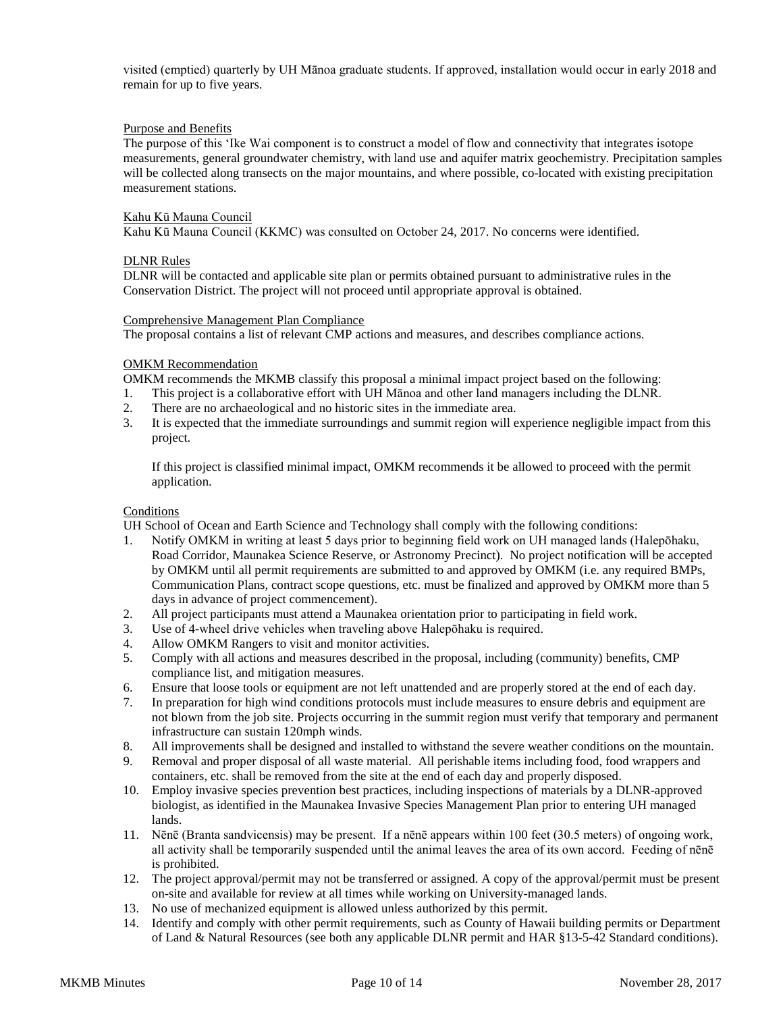visited (emptied) quarterly by UH Mānoa graduate students. If approved, installation would occur in early 2018 and remain for up to five years.

## Purpose and Benefits

The purpose of this ʻIke Wai component is to construct a model of flow and connectivity that integrates isotope measurements, general groundwater chemistry, with land use and aquifer matrix geochemistry. Precipitation samples will be collected along transects on the major mountains, and where possible, co-located with existing precipitation measurement stations.

# Kahu Kū Mauna Council

Kahu Kū Mauna Council (KKMC) was consulted on October 24, 2017. No concerns were identified.

## DLNR Rules

DLNR will be contacted and applicable site plan or permits obtained pursuant to administrative rules in the Conservation District. The project will not proceed until appropriate approval is obtained.

#### Comprehensive Management Plan Compliance

The proposal contains a list of relevant CMP actions and measures, and describes compliance actions.

## OMKM Recommendation

OMKM recommends the MKMB classify this proposal a minimal impact project based on the following:

- 1. This project is a collaborative effort with UH Mānoa and other land managers including the DLNR.
- 2. There are no archaeological and no historic sites in the immediate area.<br>3. It is expected that the immediate surroundings and summit region will example.
- It is expected that the immediate surroundings and summit region will experience negligible impact from this project.

If this project is classified minimal impact, OMKM recommends it be allowed to proceed with the permit application.

## Conditions

UH School of Ocean and Earth Science and Technology shall comply with the following conditions:

- 1. Notify OMKM in writing at least 5 days prior to beginning field work on UH managed lands (Halepōhaku, Road Corridor, Maunakea Science Reserve, or Astronomy Precinct). No project notification will be accepted by OMKM until all permit requirements are submitted to and approved by OMKM (i.e. any required BMPs, Communication Plans, contract scope questions, etc. must be finalized and approved by OMKM more than 5 days in advance of project commencement).
- 2. All project participants must attend a Maunakea orientation prior to participating in field work.
- 3. Use of 4-wheel drive vehicles when traveling above Halepōhaku is required.
- 4. Allow OMKM Rangers to visit and monitor activities.
- 5. Comply with all actions and measures described in the proposal, including (community) benefits, CMP compliance list, and mitigation measures.
- 6. Ensure that loose tools or equipment are not left unattended and are properly stored at the end of each day.
- 7. In preparation for high wind conditions protocols must include measures to ensure debris and equipment are not blown from the job site. Projects occurring in the summit region must verify that temporary and permanent infrastructure can sustain 120mph winds.
- 8. All improvements shall be designed and installed to withstand the severe weather conditions on the mountain.
- 9. Removal and proper disposal of all waste material. All perishable items including food, food wrappers and containers, etc. shall be removed from the site at the end of each day and properly disposed.
- 10. Employ invasive species prevention best practices, including inspections of materials by a DLNR-approved biologist, as identified in the Maunakea Invasive Species Management Plan prior to entering UH managed lands.
- 11. Nēnē (Branta sandvicensis) may be present. If a nēnē appears within 100 feet (30.5 meters) of ongoing work, all activity shall be temporarily suspended until the animal leaves the area of its own accord. Feeding of nēnē is prohibited.
- 12. The project approval/permit may not be transferred or assigned. A copy of the approval/permit must be present on-site and available for review at all times while working on University-managed lands.
- 13. No use of mechanized equipment is allowed unless authorized by this permit.
- 14. Identify and comply with other permit requirements, such as County of Hawaii building permits or Department of Land & Natural Resources (see both any applicable DLNR permit and HAR §13-5-42 Standard conditions).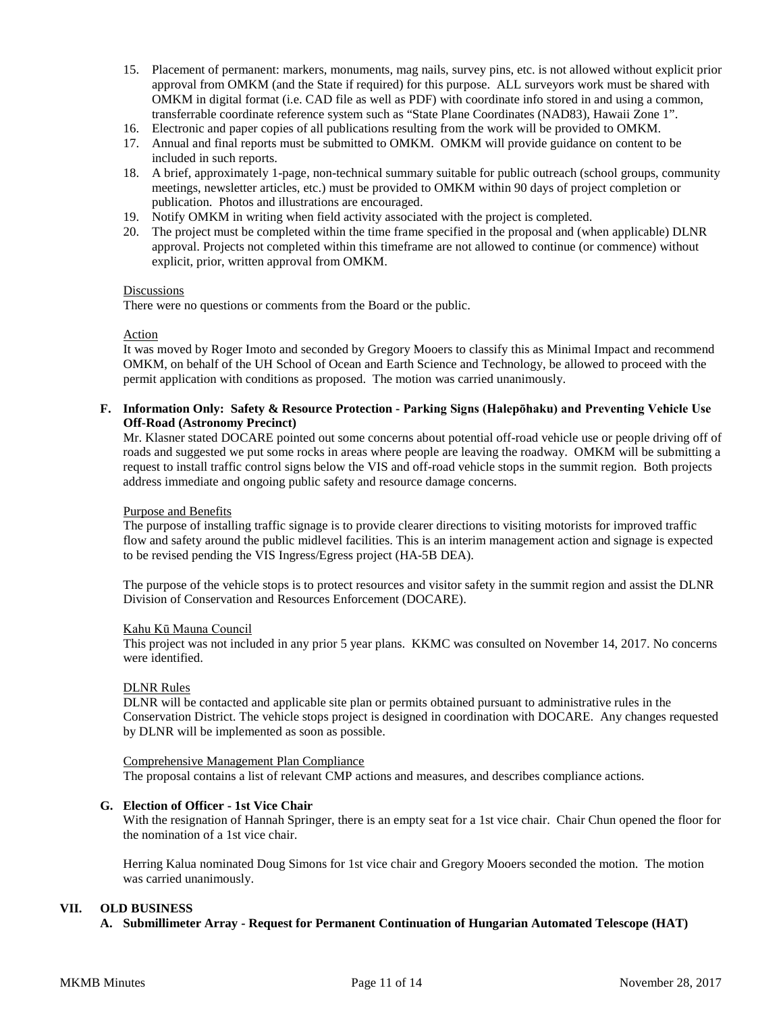- 15. Placement of permanent: markers, monuments, mag nails, survey pins, etc. is not allowed without explicit prior approval from OMKM (and the State if required) for this purpose. ALL surveyors work must be shared with OMKM in digital format (i.e. CAD file as well as PDF) with coordinate info stored in and using a common, transferrable coordinate reference system such as "State Plane Coordinates (NAD83), Hawaii Zone 1".
- 16. Electronic and paper copies of all publications resulting from the work will be provided to OMKM.
- 17. Annual and final reports must be submitted to OMKM. OMKM will provide guidance on content to be included in such reports.
- 18. A brief, approximately 1-page, non-technical summary suitable for public outreach (school groups, community meetings, newsletter articles, etc.) must be provided to OMKM within 90 days of project completion or publication. Photos and illustrations are encouraged.
- 19. Notify OMKM in writing when field activity associated with the project is completed.
- 20. The project must be completed within the time frame specified in the proposal and (when applicable) DLNR approval. Projects not completed within this timeframe are not allowed to continue (or commence) without explicit, prior, written approval from OMKM.

## Discussions

There were no questions or comments from the Board or the public.

#### Action

It was moved by Roger Imoto and seconded by Gregory Mooers to classify this as Minimal Impact and recommend OMKM, on behalf of the UH School of Ocean and Earth Science and Technology, be allowed to proceed with the permit application with conditions as proposed. The motion was carried unanimously.

# **F. Information Only: Safety & Resource Protection - Parking Signs (Halepōhaku) and Preventing Vehicle Use Off-Road (Astronomy Precinct)**

Mr. Klasner stated DOCARE pointed out some concerns about potential off-road vehicle use or people driving off of roads and suggested we put some rocks in areas where people are leaving the roadway. OMKM will be submitting a request to install traffic control signs below the VIS and off-road vehicle stops in the summit region. Both projects address immediate and ongoing public safety and resource damage concerns.

#### Purpose and Benefits

The purpose of installing traffic signage is to provide clearer directions to visiting motorists for improved traffic flow and safety around the public midlevel facilities. This is an interim management action and signage is expected to be revised pending the VIS Ingress/Egress project (HA-5B DEA).

The purpose of the vehicle stops is to protect resources and visitor safety in the summit region and assist the DLNR Division of Conservation and Resources Enforcement (DOCARE).

#### Kahu Kū Mauna Council

This project was not included in any prior 5 year plans. KKMC was consulted on November 14, 2017. No concerns were identified.

#### DLNR Rules

DLNR will be contacted and applicable site plan or permits obtained pursuant to administrative rules in the Conservation District. The vehicle stops project is designed in coordination with DOCARE. Any changes requested by DLNR will be implemented as soon as possible.

#### Comprehensive Management Plan Compliance

The proposal contains a list of relevant CMP actions and measures, and describes compliance actions.

#### **G. Election of Officer - 1st Vice Chair**

With the resignation of Hannah Springer, there is an empty seat for a 1st vice chair. Chair Chun opened the floor for the nomination of a 1st vice chair.

Herring Kalua nominated Doug Simons for 1st vice chair and Gregory Mooers seconded the motion. The motion was carried unanimously.

#### **VII. OLD BUSINESS**

**A. Submillimeter Array - Request for Permanent Continuation of Hungarian Automated Telescope (HAT)**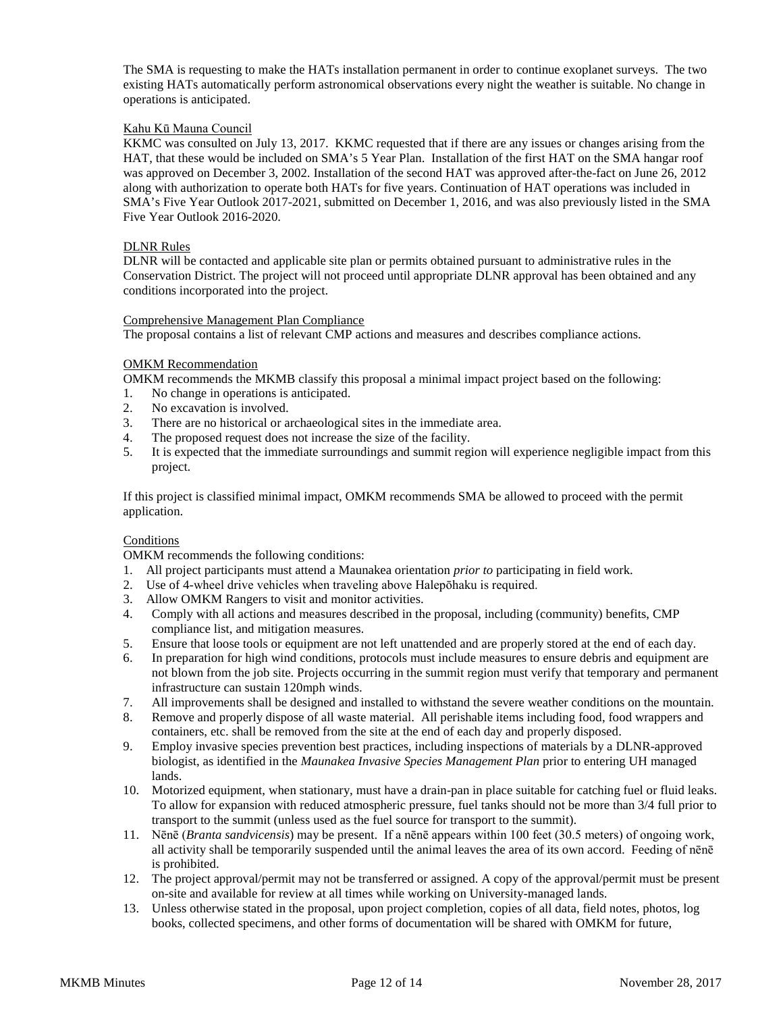The SMA is requesting to make the HATs installation permanent in order to continue exoplanet surveys. The two existing HATs automatically perform astronomical observations every night the weather is suitable. No change in operations is anticipated.

# Kahu Kū Mauna Council

KKMC was consulted on July 13, 2017. KKMC requested that if there are any issues or changes arising from the HAT, that these would be included on SMA's 5 Year Plan. Installation of the first HAT on the SMA hangar roof was approved on December 3, 2002. Installation of the second HAT was approved after-the-fact on June 26, 2012 along with authorization to operate both HATs for five years. Continuation of HAT operations was included in SMA's Five Year Outlook 2017-2021, submitted on December 1, 2016, and was also previously listed in the SMA Five Year Outlook 2016-2020.

## DLNR Rules

DLNR will be contacted and applicable site plan or permits obtained pursuant to administrative rules in the Conservation District. The project will not proceed until appropriate DLNR approval has been obtained and any conditions incorporated into the project.

#### Comprehensive Management Plan Compliance

The proposal contains a list of relevant CMP actions and measures and describes compliance actions.

## OMKM Recommendation

OMKM recommends the MKMB classify this proposal a minimal impact project based on the following:

- 1. No change in operations is anticipated.
- 2. No excavation is involved.<br>3. There are no historical or a
- There are no historical or archaeological sites in the immediate area.
- 4. The proposed request does not increase the size of the facility.
- 5. It is expected that the immediate surroundings and summit region will experience negligible impact from this project.

If this project is classified minimal impact, OMKM recommends SMA be allowed to proceed with the permit application.

# **Conditions**

OMKM recommends the following conditions:

- 1. All project participants must attend a Maunakea orientation *prior to* participating in field work.
- 2. Use of 4-wheel drive vehicles when traveling above Halepōhaku is required.
- 3. Allow OMKM Rangers to visit and monitor activities.
- 4. Comply with all actions and measures described in the proposal, including (community) benefits, CMP compliance list, and mitigation measures.
- 5. Ensure that loose tools or equipment are not left unattended and are properly stored at the end of each day.
- 6. In preparation for high wind conditions, protocols must include measures to ensure debris and equipment are not blown from the job site. Projects occurring in the summit region must verify that temporary and permanent infrastructure can sustain 120mph winds.
- 7. All improvements shall be designed and installed to withstand the severe weather conditions on the mountain.
- 8. Remove and properly dispose of all waste material. All perishable items including food, food wrappers and containers, etc. shall be removed from the site at the end of each day and properly disposed.
- 9. Employ invasive species prevention best practices, including inspections of materials by a DLNR-approved biologist, as identified in the *Maunakea Invasive Species Management Plan* prior to entering UH managed lands.
- 10. Motorized equipment, when stationary, must have a drain-pan in place suitable for catching fuel or fluid leaks. To allow for expansion with reduced atmospheric pressure, fuel tanks should not be more than 3/4 full prior to transport to the summit (unless used as the fuel source for transport to the summit).
- 11. Nēnē (*Branta sandvicensis*) may be present. If a nēnē appears within 100 feet (30.5 meters) of ongoing work, all activity shall be temporarily suspended until the animal leaves the area of its own accord. Feeding of nēnē is prohibited.
- 12. The project approval/permit may not be transferred or assigned. A copy of the approval/permit must be present on-site and available for review at all times while working on University-managed lands.
- 13. Unless otherwise stated in the proposal, upon project completion, copies of all data, field notes, photos, log books, collected specimens, and other forms of documentation will be shared with OMKM for future,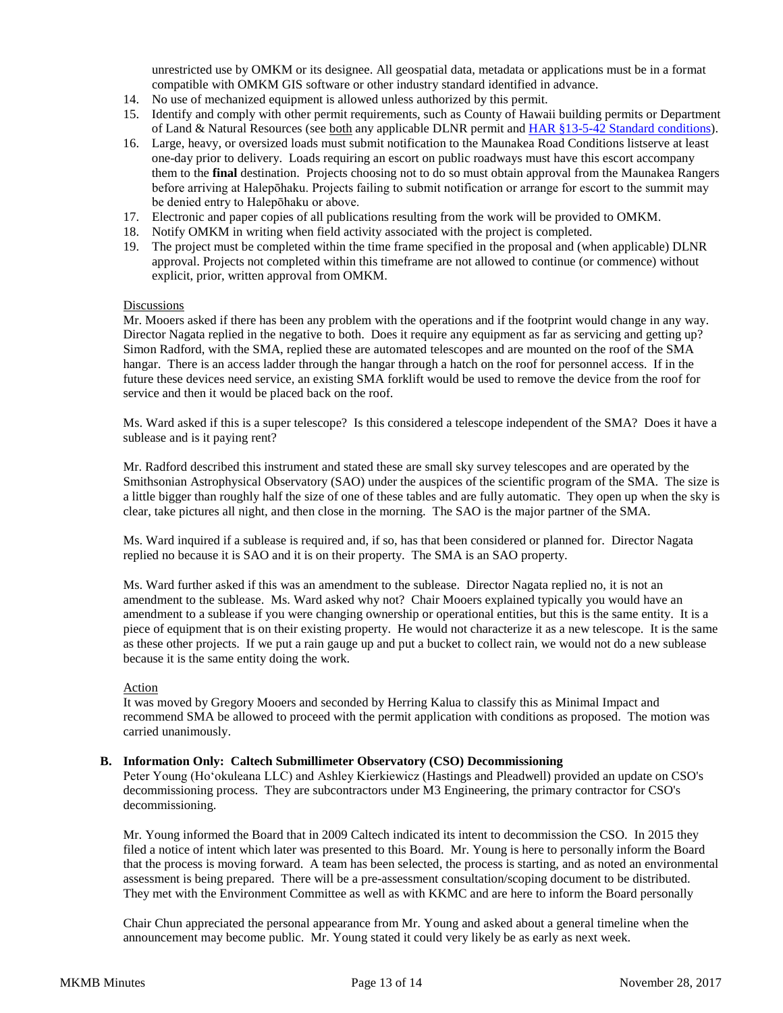unrestricted use by OMKM or its designee. All geospatial data, metadata or applications must be in a format compatible with OMKM GIS software or other industry standard identified in advance.

- 14. No use of mechanized equipment is allowed unless authorized by this permit.
- 15. Identify and comply with other permit requirements, such as County of Hawaii building permits or Department of Land & Natural Resources (see both any applicable DLNR permit and HAR [§13-5-42 Standard conditions\)](http://dlnr.hawaii.gov/occl/files/2013/08/13-5-2013.pdf#page=47).
- 16. Large, heavy, or oversized loads must submit notification to the Maunakea Road Conditions listserve at least one-day prior to delivery. Loads requiring an escort on public roadways must have this escort accompany them to the **final** destination. Projects choosing not to do so must obtain approval from the Maunakea Rangers before arriving at Halepōhaku. Projects failing to submit notification or arrange for escort to the summit may be denied entry to Halepōhaku or above.
- 17. Electronic and paper copies of all publications resulting from the work will be provided to OMKM.
- 18. Notify OMKM in writing when field activity associated with the project is completed.
- 19. The project must be completed within the time frame specified in the proposal and (when applicable) DLNR approval. Projects not completed within this timeframe are not allowed to continue (or commence) without explicit, prior, written approval from OMKM.

#### Discussions

Mr. Mooers asked if there has been any problem with the operations and if the footprint would change in any way. Director Nagata replied in the negative to both. Does it require any equipment as far as servicing and getting up? Simon Radford, with the SMA, replied these are automated telescopes and are mounted on the roof of the SMA hangar. There is an access ladder through the hangar through a hatch on the roof for personnel access. If in the future these devices need service, an existing SMA forklift would be used to remove the device from the roof for service and then it would be placed back on the roof.

Ms. Ward asked if this is a super telescope? Is this considered a telescope independent of the SMA? Does it have a sublease and is it paying rent?

Mr. Radford described this instrument and stated these are small sky survey telescopes and are operated by the Smithsonian Astrophysical Observatory (SAO) under the auspices of the scientific program of the SMA. The size is a little bigger than roughly half the size of one of these tables and are fully automatic. They open up when the sky is clear, take pictures all night, and then close in the morning. The SAO is the major partner of the SMA.

Ms. Ward inquired if a sublease is required and, if so, has that been considered or planned for. Director Nagata replied no because it is SAO and it is on their property. The SMA is an SAO property.

Ms. Ward further asked if this was an amendment to the sublease. Director Nagata replied no, it is not an amendment to the sublease. Ms. Ward asked why not? Chair Mooers explained typically you would have an amendment to a sublease if you were changing ownership or operational entities, but this is the same entity. It is a piece of equipment that is on their existing property. He would not characterize it as a new telescope. It is the same as these other projects. If we put a rain gauge up and put a bucket to collect rain, we would not do a new sublease because it is the same entity doing the work.

# Action

It was moved by Gregory Mooers and seconded by Herring Kalua to classify this as Minimal Impact and recommend SMA be allowed to proceed with the permit application with conditions as proposed. The motion was carried unanimously.

## **B. Information Only: Caltech Submillimeter Observatory (CSO) Decommissioning**

Peter Young (Hoʻokuleana LLC) and Ashley Kierkiewicz (Hastings and Pleadwell) provided an update on CSO's decommissioning process. They are subcontractors under M3 Engineering, the primary contractor for CSO's decommissioning.

Mr. Young informed the Board that in 2009 Caltech indicated its intent to decommission the CSO. In 2015 they filed a notice of intent which later was presented to this Board. Mr. Young is here to personally inform the Board that the process is moving forward. A team has been selected, the process is starting, and as noted an environmental assessment is being prepared. There will be a pre-assessment consultation/scoping document to be distributed. They met with the Environment Committee as well as with KKMC and are here to inform the Board personally

Chair Chun appreciated the personal appearance from Mr. Young and asked about a general timeline when the announcement may become public. Mr. Young stated it could very likely be as early as next week.